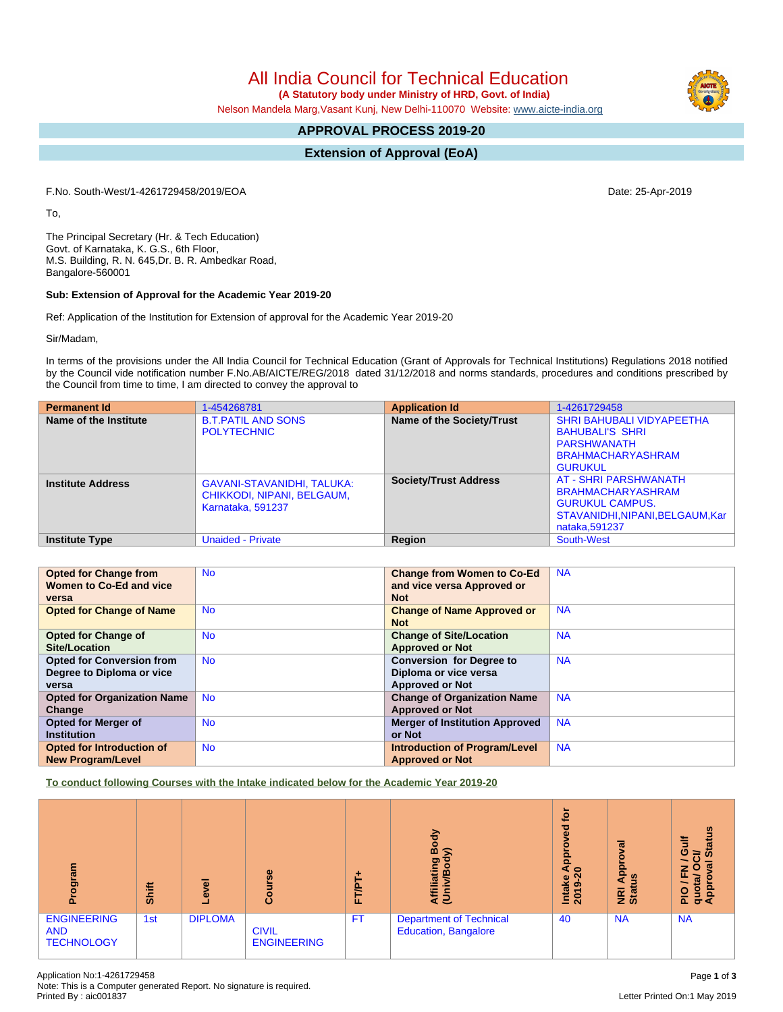All India Council for Technical Education

 **(A Statutory body under Ministry of HRD, Govt. of India)**

Nelson Mandela Marg,Vasant Kunj, New Delhi-110070 Website: [www.aicte-india.org](http://www.aicte-india.org)

# **APPROVAL PROCESS 2019-20**

# **Extension of Approval (EoA)**

F.No. South-West/1-4261729458/2019/EOA Date: 25-Apr-2019

To,

The Principal Secretary (Hr. & Tech Education) Govt. of Karnataka, K. G.S., 6th Floor, M.S. Building, R. N. 645,Dr. B. R. Ambedkar Road, Bangalore-560001

### **Sub: Extension of Approval for the Academic Year 2019-20**

Ref: Application of the Institution for Extension of approval for the Academic Year 2019-20

Sir/Madam,

In terms of the provisions under the All India Council for Technical Education (Grant of Approvals for Technical Institutions) Regulations 2018 notified by the Council vide notification number F.No.AB/AICTE/REG/2018 dated 31/12/2018 and norms standards, procedures and conditions prescribed by the Council from time to time, I am directed to convey the approval to

| <b>Permanent Id</b>      | 1-454268781                                                                          | <b>Application Id</b>        | 1-4261729458                                                                                                                             |
|--------------------------|--------------------------------------------------------------------------------------|------------------------------|------------------------------------------------------------------------------------------------------------------------------------------|
| Name of the Institute    | <b>B.T.PATIL AND SONS</b><br><b>POLYTECHNIC</b>                                      | Name of the Society/Trust    | <b>SHRI BAHUBALI VIDYAPEETHA</b><br><b>BAHUBALI'S SHRI</b><br>PARSHWANATH<br><b>BRAHMACHARYASHRAM</b><br><b>GURUKUL</b>                  |
| <b>Institute Address</b> | <b>GAVANI-STAVANIDHI, TALUKA:</b><br>CHIKKODI, NIPANI, BELGAUM,<br>Karnataka, 591237 | <b>Society/Trust Address</b> | <b>AT - SHRI PARSHWANATH</b><br><b>BRAHMACHARYASHRAM</b><br><b>GURUKUL CAMPUS.</b><br>STAVANIDHI, NIPANI, BELGAUM, Kar<br>nataka, 591237 |
| <b>Institute Type</b>    | <b>Unaided - Private</b>                                                             | Region                       | South-West                                                                                                                               |

| <b>Opted for Change from</b>       | <b>No</b> | <b>Change from Women to Co-Ed</b>     | <b>NA</b> |
|------------------------------------|-----------|---------------------------------------|-----------|
| Women to Co-Ed and vice            |           | and vice versa Approved or            |           |
| versa                              |           | <b>Not</b>                            |           |
| <b>Opted for Change of Name</b>    | <b>No</b> | <b>Change of Name Approved or</b>     | <b>NA</b> |
|                                    |           | <b>Not</b>                            |           |
| <b>Opted for Change of</b>         | <b>No</b> | <b>Change of Site/Location</b>        | <b>NA</b> |
| Site/Location                      |           | <b>Approved or Not</b>                |           |
| <b>Opted for Conversion from</b>   | <b>No</b> | <b>Conversion for Degree to</b>       | <b>NA</b> |
| Degree to Diploma or vice          |           | Diploma or vice versa                 |           |
| versa                              |           | <b>Approved or Not</b>                |           |
| <b>Opted for Organization Name</b> | <b>No</b> | <b>Change of Organization Name</b>    | <b>NA</b> |
| Change                             |           | <b>Approved or Not</b>                |           |
| <b>Opted for Merger of</b>         | <b>No</b> | <b>Merger of Institution Approved</b> | <b>NA</b> |
| <b>Institution</b>                 |           | or Not                                |           |
| <b>Opted for Introduction of</b>   | <b>No</b> | <b>Introduction of Program/Level</b>  | <b>NA</b> |
| <b>New Program/Level</b>           |           | <b>Approved or Not</b>                |           |

**To conduct following Courses with the Intake indicated below for the Academic Year 2019-20**

| mrs.<br>ā                                             | <b>Shift</b> | g<br>ق         | Course                             | ٠<br>FT/PT | Body<br>≲<br>Affiliating<br>(Univ/Bod <sub>)</sub>     | <b>b</b><br><b>be</b><br>ö<br>ā<br>40<br>Intake<br>ග<br>$\overline{20}$ | ख़<br>ē<br>윤<br>四<br><1<br><b>NRI</b> | <b>Status</b><br>冐<br>O<br>≘<br>ω<br>O<br>z<br>Ξ<br>quot<br>Appr<br>$rac{O}{n}$ |
|-------------------------------------------------------|--------------|----------------|------------------------------------|------------|--------------------------------------------------------|-------------------------------------------------------------------------|---------------------------------------|---------------------------------------------------------------------------------|
| <b>ENGINEERING</b><br><b>AND</b><br><b>TECHNOLOGY</b> | 1st          | <b>DIPLOMA</b> | <b>CIVIL</b><br><b>ENGINEERING</b> | <b>FT</b>  | <b>Department of Technical</b><br>Education, Bangalore | 40                                                                      | <b>NA</b>                             | <b>NA</b>                                                                       |

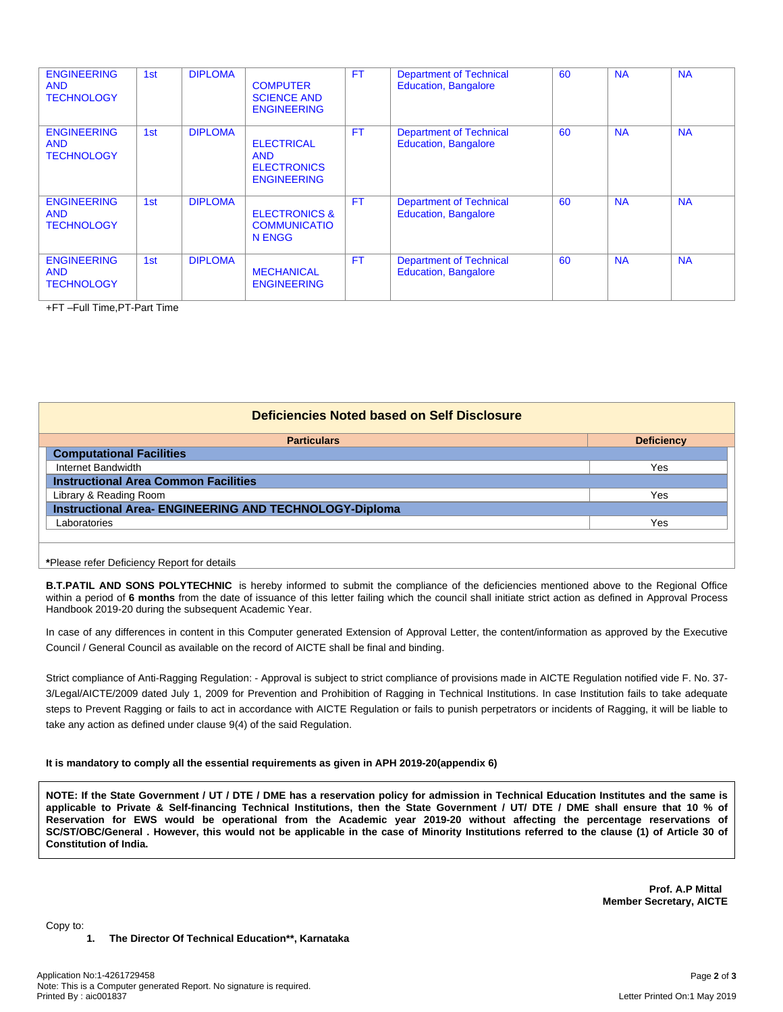| <b>ENGINEERING</b><br><b>AND</b><br><b>TECHNOLOGY</b> | 1st | <b>DIPLOMA</b> | <b>COMPUTER</b><br><b>SCIENCE AND</b><br><b>ENGINEERING</b>                 | <b>FT</b> | <b>Department of Technical</b><br><b>Education, Bangalore</b> | 60 | <b>NA</b> | <b>NA</b> |
|-------------------------------------------------------|-----|----------------|-----------------------------------------------------------------------------|-----------|---------------------------------------------------------------|----|-----------|-----------|
| <b>ENGINEERING</b><br><b>AND</b><br><b>TECHNOLOGY</b> | 1st | <b>DIPLOMA</b> | <b>ELECTRICAL</b><br><b>AND</b><br><b>ELECTRONICS</b><br><b>ENGINEERING</b> | <b>FT</b> | <b>Department of Technical</b><br><b>Education, Bangalore</b> | 60 | <b>NA</b> | <b>NA</b> |
| <b>ENGINEERING</b><br><b>AND</b><br><b>TECHNOLOGY</b> | 1st | <b>DIPLOMA</b> | <b>ELECTRONICS &amp;</b><br><b>COMMUNICATIO</b><br>N ENGG                   | <b>FT</b> | <b>Department of Technical</b><br><b>Education, Bangalore</b> | 60 | <b>NA</b> | <b>NA</b> |
| <b>ENGINEERING</b><br><b>AND</b><br><b>TECHNOLOGY</b> | 1st | <b>DIPLOMA</b> | <b>MECHANICAL</b><br><b>ENGINEERING</b>                                     | <b>FT</b> | <b>Department of Technical</b><br><b>Education, Bangalore</b> | 60 | <b>NA</b> | <b>NA</b> |

+FT –Full Time,PT-Part Time

| Deficiencies Noted based on Self Disclosure                   |                   |  |  |  |  |  |
|---------------------------------------------------------------|-------------------|--|--|--|--|--|
| <b>Particulars</b>                                            | <b>Deficiency</b> |  |  |  |  |  |
| <b>Computational Facilities</b>                               |                   |  |  |  |  |  |
| Internet Bandwidth                                            | Yes               |  |  |  |  |  |
| <b>Instructional Area Common Facilities</b>                   |                   |  |  |  |  |  |
| Library & Reading Room                                        | Yes               |  |  |  |  |  |
| <b>Instructional Area- ENGINEERING AND TECHNOLOGY-Diploma</b> |                   |  |  |  |  |  |
| Laboratories                                                  | Yes               |  |  |  |  |  |
|                                                               |                   |  |  |  |  |  |
|                                                               |                   |  |  |  |  |  |

**\***Please refer Deficiency Report for details

**B.T.PATIL AND SONS POLYTECHNIC** is hereby informed to submit the compliance of the deficiencies mentioned above to the Regional Office within a period of **6 months** from the date of issuance of this letter failing which the council shall initiate strict action as defined in Approval Process Handbook 2019-20 during the subsequent Academic Year.

In case of any differences in content in this Computer generated Extension of Approval Letter, the content/information as approved by the Executive Council / General Council as available on the record of AICTE shall be final and binding.

Strict compliance of Anti-Ragging Regulation: - Approval is subject to strict compliance of provisions made in AICTE Regulation notified vide F. No. 37- 3/Legal/AICTE/2009 dated July 1, 2009 for Prevention and Prohibition of Ragging in Technical Institutions. In case Institution fails to take adequate steps to Prevent Ragging or fails to act in accordance with AICTE Regulation or fails to punish perpetrators or incidents of Ragging, it will be liable to take any action as defined under clause 9(4) of the said Regulation.

#### **It is mandatory to comply all the essential requirements as given in APH 2019-20(appendix 6)**

NOTE: If the State Government / UT / DTE / DME has a reservation policy for admission in Technical Education Institutes and the same is applicable to Private & Self-financing Technical Institutions, then the State Government / UT/ DTE / DME shall ensure that 10 % of Reservation for EWS would be operational from the Academic year 2019-20 without affecting the percentage reservations of SC/ST/OBC/General . However, this would not be applicable in the case of Minority Institutions referred to the clause (1) of Article 30 of **Constitution of India.**

> **Prof. A.P Mittal Member Secretary, AICTE**